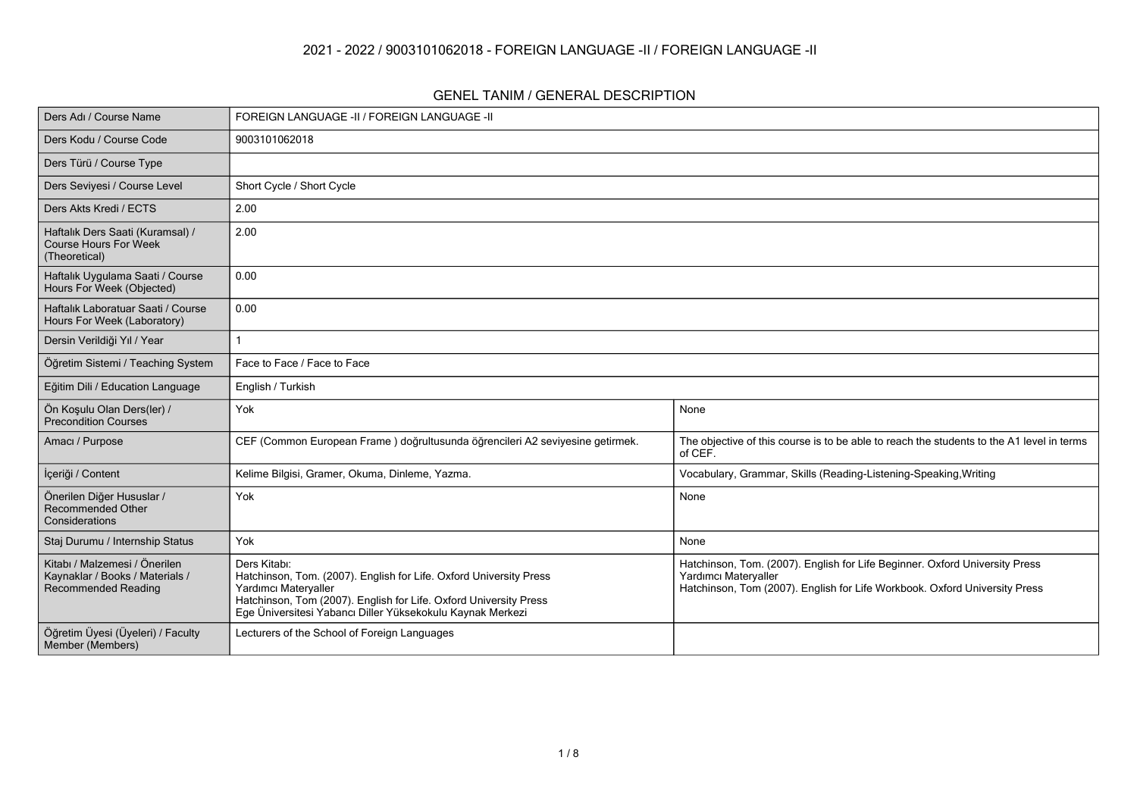#### **2021 - 2022 / 9003101062018 - FOREIGN LANGUAGE -II / FOREIGN LANGUAGE -II**

#### **GENEL TANIM / GENERAL DESCRIPTION**

| Ders Adı / Course Name                                                                         | FOREIGN LANGUAGE -II / FOREIGN LANGUAGE -II                                                                                                                                                                                                   |                                                                                                                                                                                   |  |  |  |  |  |
|------------------------------------------------------------------------------------------------|-----------------------------------------------------------------------------------------------------------------------------------------------------------------------------------------------------------------------------------------------|-----------------------------------------------------------------------------------------------------------------------------------------------------------------------------------|--|--|--|--|--|
| Ders Kodu / Course Code                                                                        | 9003101062018                                                                                                                                                                                                                                 |                                                                                                                                                                                   |  |  |  |  |  |
| Ders Türü / Course Type                                                                        |                                                                                                                                                                                                                                               |                                                                                                                                                                                   |  |  |  |  |  |
| Ders Seviyesi / Course Level                                                                   | Short Cycle / Short Cycle                                                                                                                                                                                                                     |                                                                                                                                                                                   |  |  |  |  |  |
| Ders Akts Kredi / ECTS                                                                         | 2.00                                                                                                                                                                                                                                          |                                                                                                                                                                                   |  |  |  |  |  |
| Haftalık Ders Saati (Kuramsal) /<br><b>Course Hours For Week</b><br>(Theoretical)              | 2.00                                                                                                                                                                                                                                          |                                                                                                                                                                                   |  |  |  |  |  |
| Haftalık Uygulama Saati / Course<br>Hours For Week (Objected)                                  | 0.00                                                                                                                                                                                                                                          |                                                                                                                                                                                   |  |  |  |  |  |
| Haftalık Laboratuar Saati / Course<br>Hours For Week (Laboratory)                              | 0.00                                                                                                                                                                                                                                          |                                                                                                                                                                                   |  |  |  |  |  |
| Dersin Verildiği Yıl / Year                                                                    |                                                                                                                                                                                                                                               |                                                                                                                                                                                   |  |  |  |  |  |
| Öğretim Sistemi / Teaching System                                                              | Face to Face / Face to Face                                                                                                                                                                                                                   |                                                                                                                                                                                   |  |  |  |  |  |
| Eğitim Dili / Education Language                                                               | English / Turkish                                                                                                                                                                                                                             |                                                                                                                                                                                   |  |  |  |  |  |
| Ön Koşulu Olan Ders(ler) /<br><b>Precondition Courses</b>                                      | Yok                                                                                                                                                                                                                                           | None                                                                                                                                                                              |  |  |  |  |  |
| Amacı / Purpose                                                                                | CEF (Common European Frame) doğrultusunda öğrencileri A2 seviyesine getirmek.                                                                                                                                                                 | The objective of this course is to be able to reach the students to the A1 level in terms<br>of CEF.                                                                              |  |  |  |  |  |
| İçeriği / Content                                                                              | Kelime Bilgisi, Gramer, Okuma, Dinleme, Yazma.                                                                                                                                                                                                | Vocabulary, Grammar, Skills (Reading-Listening-Speaking, Writing                                                                                                                  |  |  |  |  |  |
| Önerilen Diğer Hususlar /<br><b>Recommended Other</b><br>Considerations                        | Yok                                                                                                                                                                                                                                           | None                                                                                                                                                                              |  |  |  |  |  |
| Staj Durumu / Internship Status                                                                | Yok                                                                                                                                                                                                                                           | None                                                                                                                                                                              |  |  |  |  |  |
| Kitabı / Malzemesi / Önerilen<br>Kaynaklar / Books / Materials /<br><b>Recommended Reading</b> | Ders Kitabı:<br>Hatchinson, Tom. (2007). English for Life. Oxford University Press<br>Yardımcı Materyaller<br>Hatchinson, Tom (2007). English for Life. Oxford University Press<br>Ege Üniversitesi Yabancı Diller Yüksekokulu Kaynak Merkezi | Hatchinson, Tom. (2007). English for Life Beginner. Oxford University Press<br>Yardımcı Materyaller<br>Hatchinson, Tom (2007). English for Life Workbook. Oxford University Press |  |  |  |  |  |
| Öğretim Üyesi (Üyeleri) / Faculty<br>Member (Members)                                          | Lecturers of the School of Foreign Languages                                                                                                                                                                                                  |                                                                                                                                                                                   |  |  |  |  |  |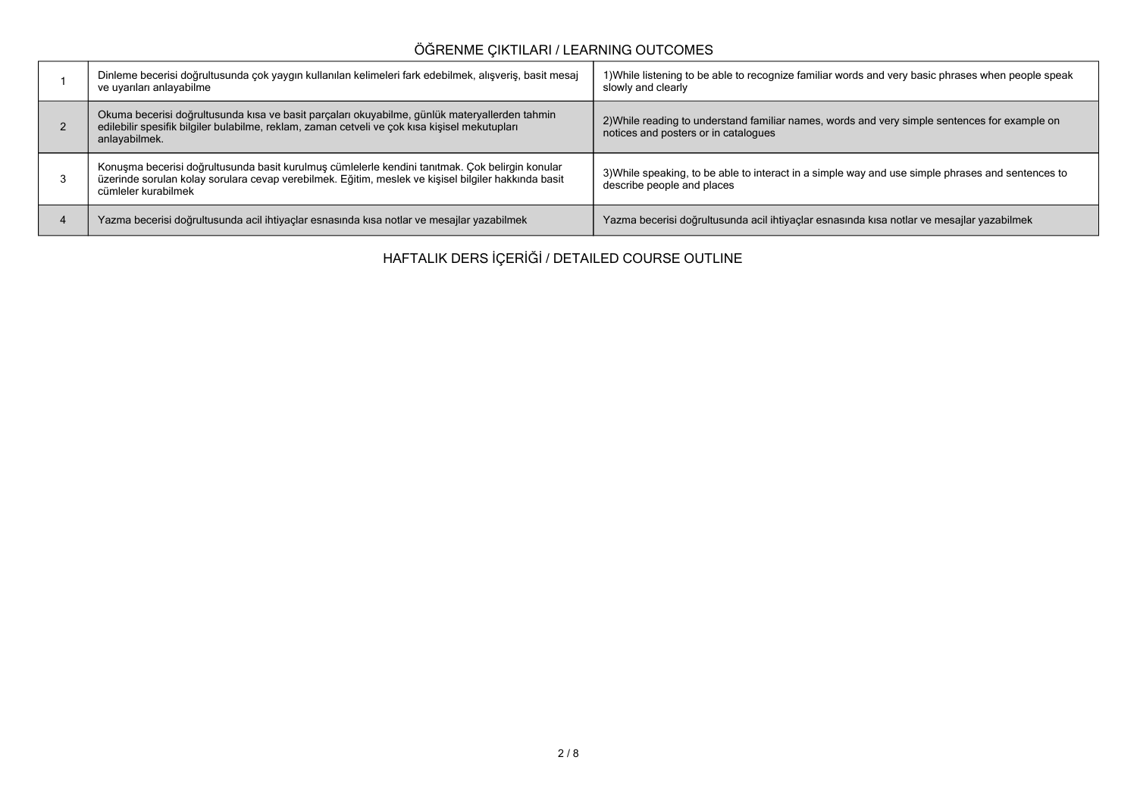# **ÖĞRENME ÇIKTILARI / LEARNING OUTCOMES**

| Dinleme becerisi doğrultusunda çok yaygın kullanılan kelimeleri fark edebilmek, alışveriş, basit mesaj<br>ve uyarıları anlayabilme                                                                                            | 1) While listening to be able to recognize familiar words and very basic phrases when people speak<br>slowly and clearly              |
|-------------------------------------------------------------------------------------------------------------------------------------------------------------------------------------------------------------------------------|---------------------------------------------------------------------------------------------------------------------------------------|
| Okuma becerisi doğrultusunda kısa ve basit parçaları okuyabilme, günlük materyallerden tahmin<br>edilebilir spesifik bilgiler bulabilme, reklam, zaman cetveli ve çok kısa kişisel mekutupları<br>anlayabilmek.               | 2) While reading to understand familiar names, words and very simple sentences for example on<br>notices and posters or in catalogues |
| Konuşma becerisi doğrultusunda basit kurulmuş cümlelerle kendini tanıtmak. Çok belirgin konular<br>üzerinde sorulan kolay sorulara cevap verebilmek. Eğitim, meslek ve kişisel bilgiler hakkında basit<br>cümleler kurabilmek | 3) While speaking, to be able to interact in a simple way and use simple phrases and sentences to<br>describe people and places       |
| Yazma becerisi doğrultusunda acil ihtiyaçlar esnasında kısa notlar ve mesajlar yazabilmek                                                                                                                                     | Yazma becerisi doğrultusunda acil ihtiyaçlar esnasında kısa notlar ve mesajlar yazabilmek                                             |

**HAFTALIK DERS İÇERİĞİ / DETAILED COURSE OUTLINE**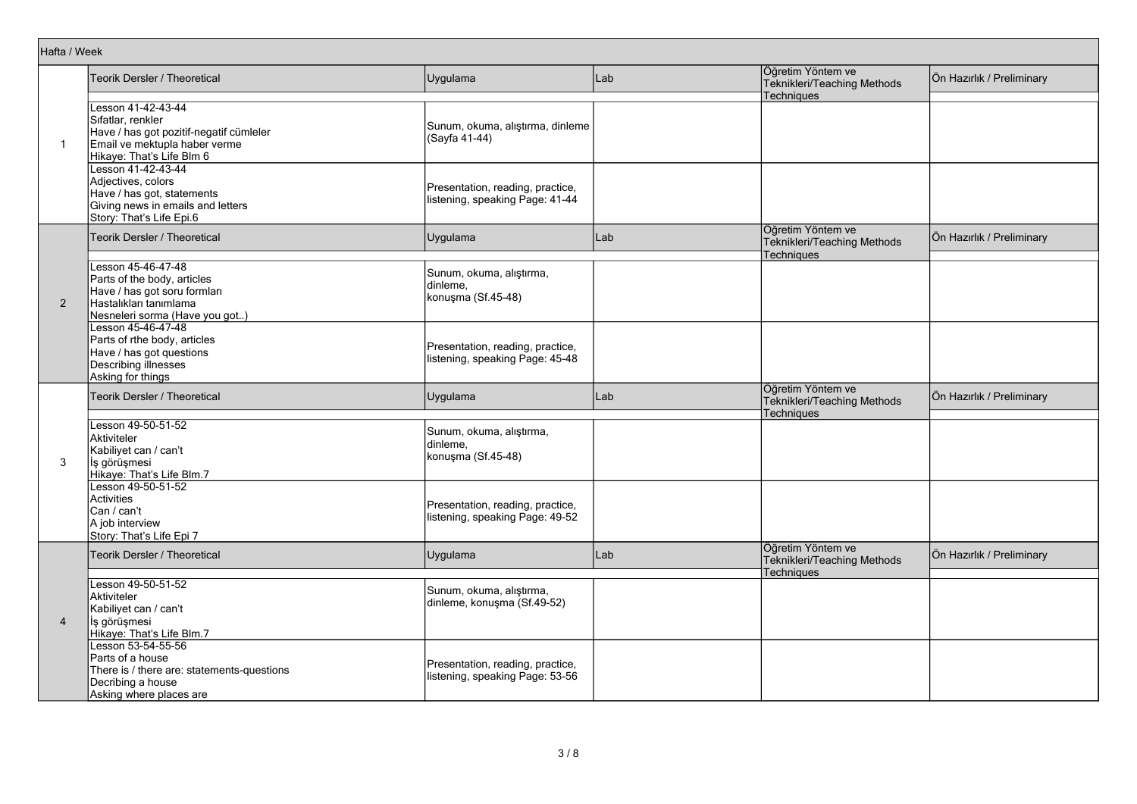| Hafta / Week   |                                                                                                                                                  |                                                                     |     |                                                                       |                           |
|----------------|--------------------------------------------------------------------------------------------------------------------------------------------------|---------------------------------------------------------------------|-----|-----------------------------------------------------------------------|---------------------------|
|                | Teorik Dersler / Theoretical                                                                                                                     | Uygulama                                                            | Lab | Öğretim Yöntem ve<br>Teknikleri/Teaching Methods<br><b>Techniques</b> | Ön Hazırlık / Preliminary |
| $\mathbf 1$    | Lesson 41-42-43-44<br>Sıfatlar, renkler<br>Have / has got pozitif-negatif cümleler<br>Email ve mektupla haber verme<br>Hikaye: That's Life Blm 6 | Sunum, okuma, alıştırma, dinleme<br>(Sayfa 41-44)                   |     |                                                                       |                           |
|                | Lesson 41-42-43-44<br>Adjectives, colors<br>Have / has got, statements<br>Giving news in emails and letters<br>Story: That's Life Epi.6          | Presentation, reading, practice,<br>listening, speaking Page: 41-44 |     |                                                                       |                           |
|                | Teorik Dersler / Theoretical                                                                                                                     | Uygulama                                                            | Lab | Öğretim Yöntem ve<br>Teknikleri/Teaching Methods<br>Techniques        | Ön Hazırlık / Preliminary |
| 2              | Lesson 45-46-47-48<br>Parts of the body, articles<br>Have / has got soru formlari<br>Hastalıkları tanımlama<br>Nesneleri sorma (Have you got)    | Sunum, okuma, alıştırma,<br>dinleme.<br>konuşma (Sf.45-48)          |     |                                                                       |                           |
|                | Lesson 45-46-47-48<br>Parts of rthe body, articles<br>Have / has got questions<br>Describing illnesses<br>Asking for things                      | Presentation, reading, practice,<br>listening, speaking Page: 45-48 |     |                                                                       |                           |
|                | Teorik Dersler / Theoretical                                                                                                                     | Uygulama                                                            | Lab | Öğretim Yöntem ve<br>Teknikleri/Teaching Methods<br><b>Techniques</b> | Ön Hazırlık / Preliminary |
| 3              | Lesson 49-50-51-52<br>Aktiviteler<br>Kabiliyet can / can't<br>İş görüşmesi<br>Hikaye: That's Life Blm.7                                          | Sunum, okuma, alıştırma,<br>dinleme.<br>konuşma (Sf.45-48)          |     |                                                                       |                           |
|                | Lesson 49-50-51-52<br><b>Activities</b><br>Can / can't<br>A job interview<br>Story: That's Life Epi 7                                            | Presentation, reading, practice,<br>listening, speaking Page: 49-52 |     |                                                                       |                           |
|                | Teorik Dersler / Theoretical                                                                                                                     | Uygulama                                                            | Lab | Öğretim Yöntem ve<br>Teknikleri/Teaching Methods<br><b>Techniques</b> | Ön Hazırlık / Preliminary |
| $\overline{4}$ | Lesson 49-50-51-52<br>Aktiviteler<br>Kabiliyet can / can't<br>İş görüşmesi<br>Hikaye: That's Life Blm.7                                          | Sunum, okuma, alıştırma,<br>dinleme, konuşma (Sf.49-52)             |     |                                                                       |                           |
|                | Lesson 53-54-55-56<br>Parts of a house<br>There is / there are: statements-questions<br>Decribing a house<br>Asking where places are             | Presentation, reading, practice,<br>listening, speaking Page: 53-56 |     |                                                                       |                           |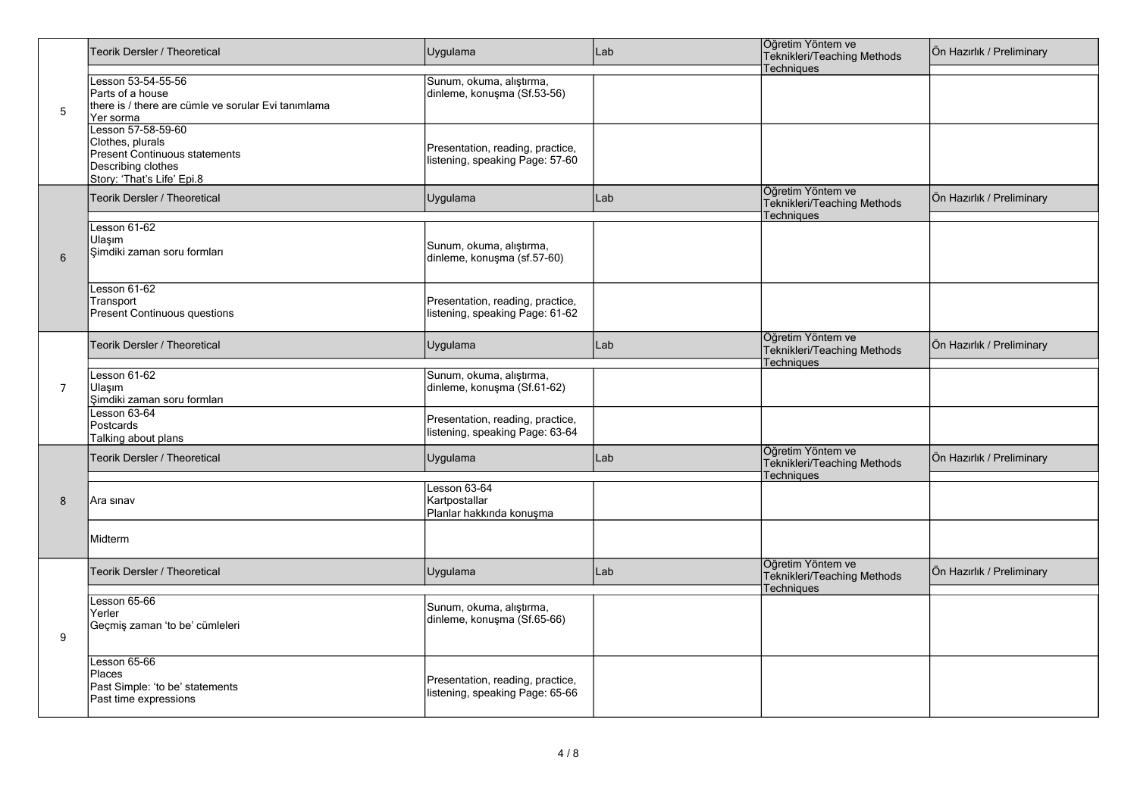|                | Teorik Dersler / Theoretical                                                                                                | Uygulama                                                            | Lab | Öğretim Yöntem ve<br>Teknikleri/Teaching Methods<br>Techniques        | Ön Hazırlık / Preliminary |
|----------------|-----------------------------------------------------------------------------------------------------------------------------|---------------------------------------------------------------------|-----|-----------------------------------------------------------------------|---------------------------|
| $\sqrt{5}$     | Lesson 53-54-55-56<br>Parts of a house<br>there is / there are cümle ve sorular Evi tanımlama<br>Yer sorma                  | Sunum, okuma, alıştırma,<br>dinleme, konuşma (Sf.53-56)             |     |                                                                       |                           |
|                | Lesson 57-58-59-60<br>Clothes, plurals<br>Present Continuous statements<br>Describing clothes<br>Story: 'That's Life' Epi.8 | Presentation, reading, practice,<br>listening, speaking Page: 57-60 |     |                                                                       |                           |
|                | Teorik Dersler / Theoretical                                                                                                | Uygulama                                                            | Lab | Öğretim Yöntem ve<br>Teknikleri/Teaching Methods<br><b>Techniques</b> | Ön Hazırlık / Preliminary |
| 6              | Lesson 61-62<br>Ulaşım<br>Şimdiki zaman soru formları                                                                       | Sunum, okuma, alıştırma,<br>dinleme, konuşma (sf.57-60)             |     |                                                                       |                           |
|                | Lesson 61-62<br>Transport<br>Present Continuous questions                                                                   | Presentation, reading, practice,<br>listening, speaking Page: 61-62 |     |                                                                       |                           |
|                | Teorik Dersler / Theoretical                                                                                                | Uygulama                                                            | Lab | Öğretim Yöntem ve<br>Teknikleri/Teaching Methods<br><b>Techniques</b> | Ön Hazırlık / Preliminary |
| $\overline{7}$ | Lesson $61-62$<br>Ulasım<br>Simdiki zaman soru formları                                                                     | Sunum, okuma, alıştırma,<br>dinleme, konuşma (Sf.61-62)             |     |                                                                       |                           |
| 8<br>9         | Lesson $63-64$<br>Postcards<br>Talking about plans                                                                          | Presentation, reading, practice,<br>listening, speaking Page: 63-64 |     |                                                                       |                           |
|                | Teorik Dersler / Theoretical                                                                                                | Uygulama                                                            | Lab | Öğretim Yöntem ve<br>Teknikleri/Teaching Methods<br><b>Techniques</b> | Ön Hazırlık / Preliminary |
|                | Ara sınav                                                                                                                   | Lesson 63-64<br>Kartpostallar<br>Planlar hakkında konuşma           |     |                                                                       |                           |
|                | Midterm                                                                                                                     |                                                                     |     |                                                                       |                           |
|                | Teorik Dersler / Theoretical                                                                                                | Uygulama                                                            | Lab | Öğretim Yöntem ve<br>Teknikleri/Teaching Methods<br><b>Techniques</b> | Ön Hazırlık / Preliminary |
|                | Lesson 65-66<br>Yerler<br>Geçmiş zaman 'to be' cümleleri                                                                    | Sunum, okuma, alıştırma,<br>dinleme, konuşma (Sf.65-66)             |     |                                                                       |                           |
|                | Lesson 65-66<br>Places<br>Past Simple: 'to be' statements<br>Past time expressions                                          | Presentation, reading, practice,<br>listening, speaking Page: 65-66 |     |                                                                       |                           |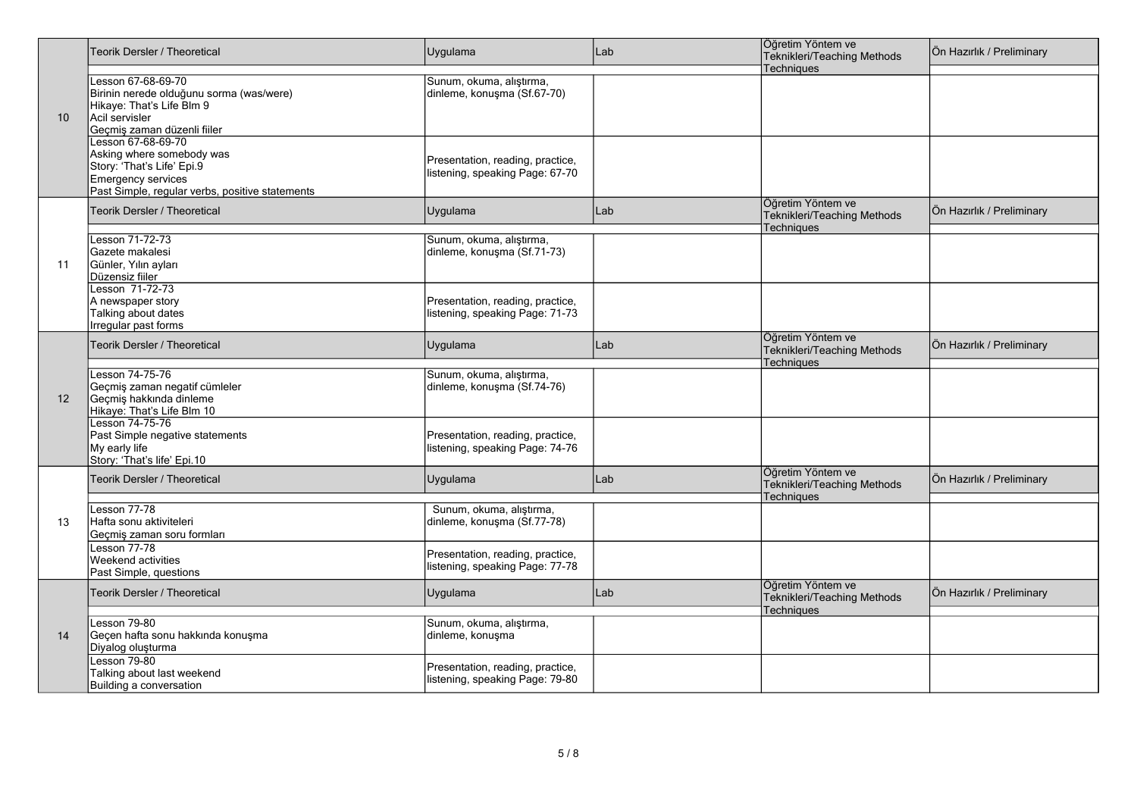|    | Teorik Dersler / Theoretical                                                                                                                           | Uygulama                                                            | Lab | Öğretim Yöntem ve<br>Teknikleri/Teaching Methods<br>Techniques        | Ön Hazırlık / Preliminary |
|----|--------------------------------------------------------------------------------------------------------------------------------------------------------|---------------------------------------------------------------------|-----|-----------------------------------------------------------------------|---------------------------|
| 10 | Lesson 67-68-69-70<br>Birinin nerede olduğunu sorma (was/were)<br>Hikaye: That's Life Blm 9<br>Acil servisler<br>Geçmiş zaman düzenli fiiler           | Sunum, okuma, alıştırma,<br>dinleme, konuşma (Sf.67-70)             |     |                                                                       |                           |
|    | Lesson 67-68-69-70<br>Asking where somebody was<br>Story: 'That's Life' Epi 9<br>Emergency services<br>Past Simple, regular verbs, positive statements | Presentation, reading, practice,<br>listening, speaking Page: 67-70 |     |                                                                       |                           |
|    | <b>Teorik Dersler / Theoretical</b>                                                                                                                    | Uygulama                                                            | Lab | Öğretim Yöntem ve<br><b>Teknikleri/Teaching Methods</b><br>Techniques | Ön Hazırlık / Preliminary |
| 11 | Lesson 71-72-73<br>Gazete makalesi<br>Günler, Yılın ayları<br>Düzensiz fiiler                                                                          | Sunum, okuma, alıştırma,<br>dinleme, konuşma (Sf.71-73)             |     |                                                                       |                           |
|    | Lesson 71-72-73<br>A newspaper story<br>Talking about dates<br>Irregular past forms                                                                    | Presentation, reading, practice,<br>listening, speaking Page: 71-73 |     |                                                                       |                           |
| 12 | Teorik Dersler / Theoretical                                                                                                                           | Uygulama                                                            | Lab | Öğretim Yöntem ve<br>Teknikleri/Teaching Methods<br>Techniques        | Ön Hazırlık / Preliminary |
|    | Lesson 74-75-76<br>Geçmiş zaman negatif cümleler<br>Geçmiş hakkında dinleme<br>Hikaye: That's Life Blm 10                                              | Sunum, okuma, alıştırma,<br>dinleme, konuşma (Sf.74-76)             |     |                                                                       |                           |
|    | Lesson 74-75-76<br>Past Simple negative statements<br>My early life<br>Story: 'That's life' Epi.10                                                     | Presentation, reading, practice,<br>listening, speaking Page: 74-76 |     |                                                                       |                           |
|    | <b>Teorik Dersler / Theoretical</b>                                                                                                                    | Uygulama                                                            | Lab | Öğretim Yöntem ve<br>Teknikleri/Teaching Methods<br><b>Techniques</b> | Ön Hazırlık / Preliminary |
| 13 | Lesson 77-78<br>Hafta sonu aktiviteleri<br>Geçmiş zaman soru formları                                                                                  | Sunum, okuma, alıştırma,<br>dinleme, konuşma (Sf.77-78)             |     |                                                                       |                           |
|    | <b>Lesson 77-78</b><br><b>Weekend activities</b><br>Past Simple, questions                                                                             | Presentation, reading, practice,<br>listening, speaking Page: 77-78 |     |                                                                       |                           |
|    | <b>Teorik Dersler / Theoretical</b>                                                                                                                    | Uygulama                                                            | Lab | Öğretim Yöntem ve<br>Teknikleri/Teaching Methods<br><b>Techniques</b> | Ön Hazırlık / Preliminary |
| 14 | Lesson 79-80<br>Geçen hafta sonu hakkında konuşma<br>Diyalog oluşturma                                                                                 | Sunum, okuma, alıştırma,<br>dinleme, konuşma                        |     |                                                                       |                           |
|    | Lesson 79-80<br>Talking about last weekend<br>Building a conversation                                                                                  | Presentation, reading, practice,<br>listening, speaking Page: 79-80 |     |                                                                       |                           |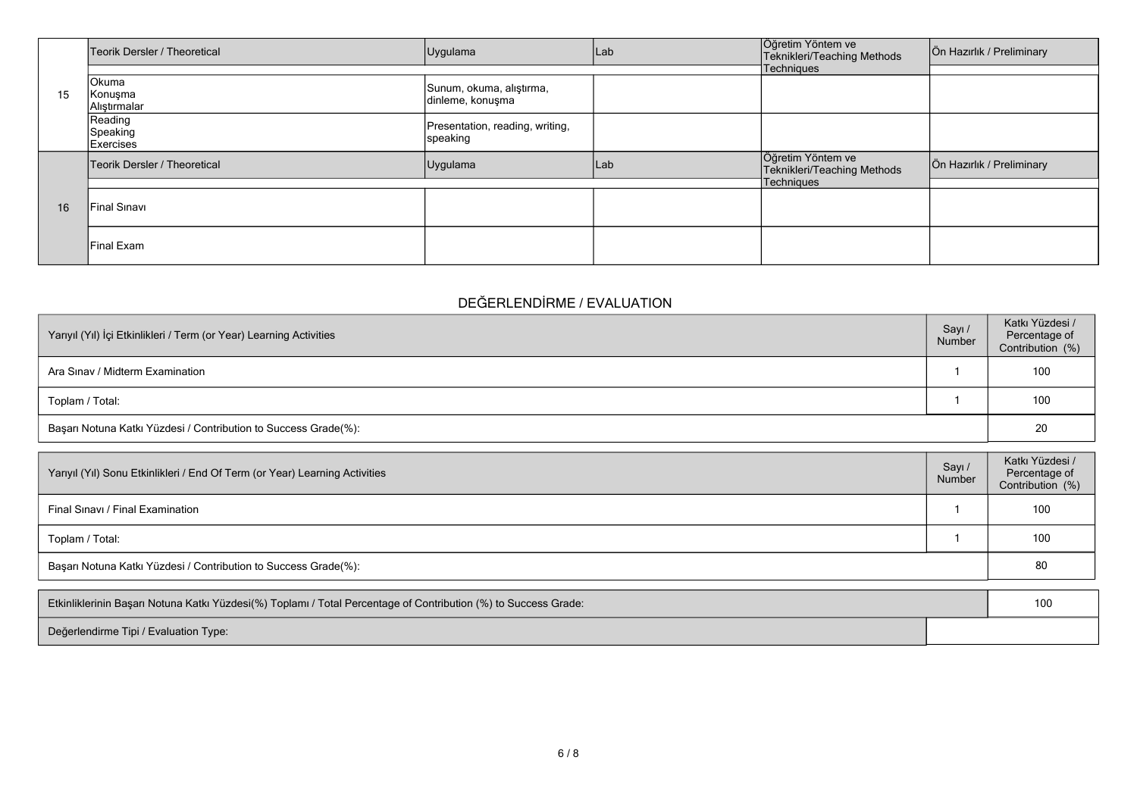|    | Teorik Dersler / Theoretical            | Uygulama                                     | Lab | Öğretim Yöntem ve<br>Teknikleri/Teaching Methods | Ön Hazırlık / Preliminary |
|----|-----------------------------------------|----------------------------------------------|-----|--------------------------------------------------|---------------------------|
|    |                                         |                                              |     | Techniques                                       |                           |
| 15 | Okuma<br>Konuşma<br>Alıştırmalar        | Sunum, okuma, alıştırma,<br>dinleme, konuşma |     |                                                  |                           |
|    | Reading<br>Speaking<br><b>Exercises</b> | Presentation, reading, writing,<br>speaking  |     |                                                  |                           |
|    | Teorik Dersler / Theoretical            | Uygulama                                     | Lab | Öğretim Yöntem ve<br>Teknikleri/Teaching Methods | Ön Hazırlık / Preliminary |
|    |                                         |                                              |     | Techniques                                       |                           |
| 16 | <b>Final Sinavi</b>                     |                                              |     |                                                  |                           |
|    | lFinal Exam                             |                                              |     |                                                  |                           |

## **DEĞERLENDİRME / EVALUATION**

| Yarıyıl (Yıl) İçi Etkinlikleri / Term (or Year) Learning Activities | Sayı /<br>Number | Katkı Yüzdesi /<br>Percentage of<br>Contribution (%) |
|---------------------------------------------------------------------|------------------|------------------------------------------------------|
| Ara Sinav / Midterm Examination                                     |                  | 100                                                  |
| Toplam / Total:                                                     |                  | 100                                                  |
| Başarı Notuna Katkı Yüzdesi / Contribution to Success Grade(%):     |                  | 20                                                   |

| Yarıyıl (Yıl) Sonu Etkinlikleri / End Of Term (or Year) Learning Activities | Sayı /<br>Number | Katkı Yüzdesi /<br>Percentage of<br>Contribution (%) |
|-----------------------------------------------------------------------------|------------------|------------------------------------------------------|
| Final Sinavi / Final Examination                                            |                  | 100                                                  |
| Toplam / Total:                                                             |                  | 100                                                  |
| Başarı Notuna Katkı Yüzdesi / Contribution to Success Grade(%):             |                  | 80                                                   |

| Etkinliklerinin Başarı Notuna Katkı Yüzdesi(%) Toplamı / Total Percentage of Contribution (%) to Success Grade: | 100 |
|-----------------------------------------------------------------------------------------------------------------|-----|
| Değerlendirme Tipi / Evaluation Type:                                                                           |     |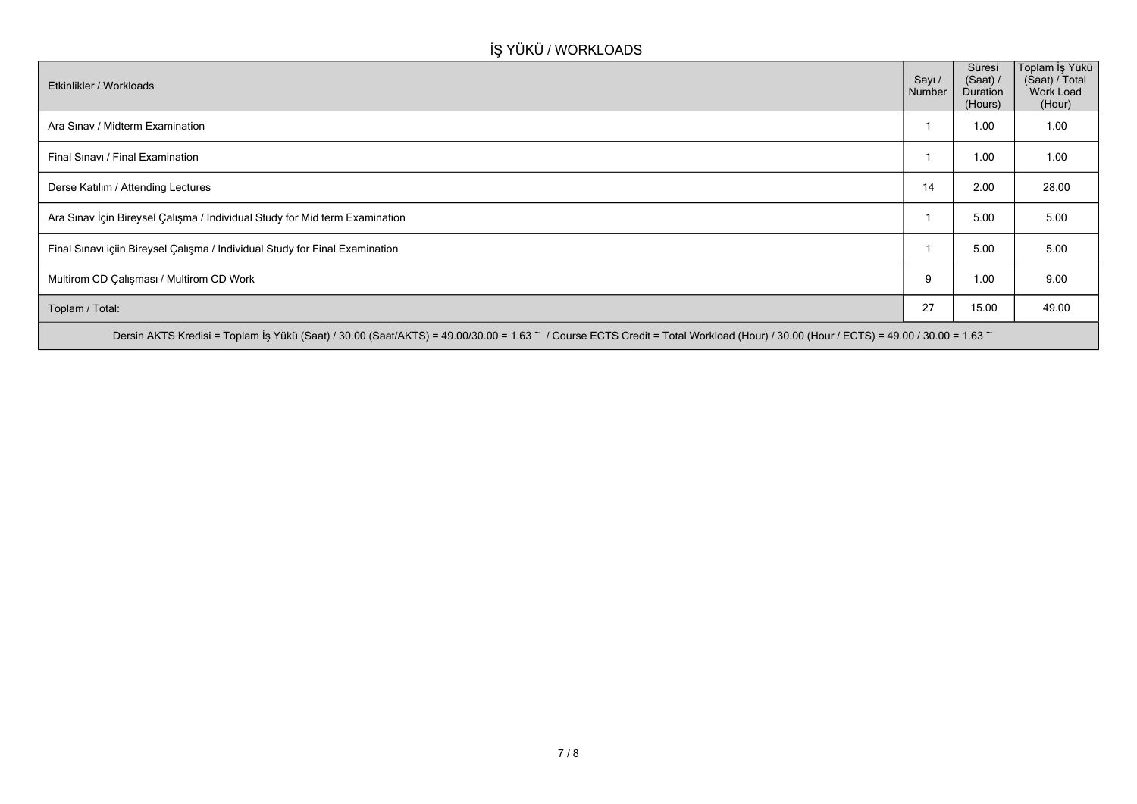## **İŞ YÜKÜ / WORKLOADS**

| Etkinlikler / Workloads                                                                                                                                                            | Sayı /<br>Number | Süresi<br>(Saat) /<br>Duration<br>(Hours) | Toplam İş Yükü<br>(Saat) / Total<br>Work Load<br>(Hour) |
|------------------------------------------------------------------------------------------------------------------------------------------------------------------------------------|------------------|-------------------------------------------|---------------------------------------------------------|
| Ara Sınav / Midterm Examination                                                                                                                                                    |                  | 1.00                                      | 1.00                                                    |
| Final Sinavi / Final Examination                                                                                                                                                   |                  | 1.00                                      | 1.00                                                    |
| Derse Katılım / Attending Lectures                                                                                                                                                 | 14               | 2.00                                      | 28.00                                                   |
| Ara Sınav İçin Bireysel Çalışma / Individual Study for Mid term Examination                                                                                                        |                  | 5.00                                      | 5.00                                                    |
| Final Sınavı içiin Bireysel Çalışma / Individual Study for Final Examination                                                                                                       |                  | 5.00                                      | 5.00                                                    |
| Multirom CD Çalışması / Multirom CD Work                                                                                                                                           | 9                | 1.00                                      | 9.00                                                    |
| Toplam / Total:                                                                                                                                                                    | 27               | 15.00                                     | 49.00                                                   |
| Dersin AKTS Kredisi = Toplam İş Yükü (Saat) / 30.00 (Saat/AKTS) = 49.00/30.00 = 1.63 ~ / Course ECTS Credit = Total Workload (Hour) / 30.00 (Hour / ECTS) = 49.00 / 30.00 = 1.63 ~ |                  |                                           |                                                         |